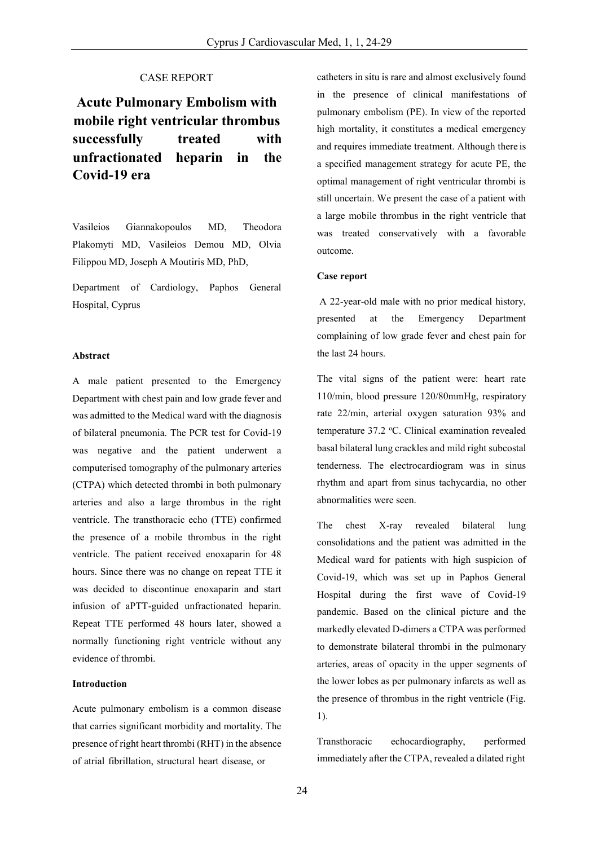# CASE REPORT

**Acute Pulmonary Embolism with mobile right ventricular thrombus successfully treated with unfractionated Covid-19 era heparin in the**

Vasileios Giannakopoulos MD, Theodora Plakomyti MD, Vasileios Demou ΜD, Olvia Filippou MD, Joseph A Moutiris MD, PhD,

Department of Cardiology, Paphos General Hospital, Cyprus

### **Abstract**

A male patient presented to the Emergency Department with chest pain and low grade fever and was admitted to the Medical ward with the diagnosis of bilateral pneumonia. The PCR test for Covid-19 was negative and the patient underwent a computerised tomography of the pulmonary arteries (CTPA) which detected thrombi in both pulmonary arteries and also a large thrombus in the right ventricle. The transthoracic echo (TTE) confirmed the presence of a mobile thrombus in the right ventricle. The patient received enoxaparin for 48 hours. Since there was no change on repeat TTE it was decided to discontinue enoxaparin and start infusion of aPTT-guided unfractionated heparin. Repeat TTE performed 48 hours later, showed a normally functioning right ventricle without any evidence of thrombi.

# **Introduction**

Acute pulmonary embolism is a common disease that carries significant morbidity and mortality. The presence of right heart thrombi (RHT) in the absence of atrial fibrillation, structural heart disease, or

catheters in situ is rare and almost exclusively found in the presence of clinical manifestations of pulmonary embolism (PE). In view of the reported high mortality, it constitutes a medical emergency and requires immediate treatment. Although there is a specified management strategy for acute PE, the optimal management of right ventricular thrombi is still uncertain. We present the case of a patient with a large mobile thrombus in the right ventricle that was treated conservatively with a favorable outcome.

#### **Case report**

A 22-year-old male with no prior medical history, presented at the Emergency Department complaining of low grade fever and chest pain for the last 24 hours.

The vital signs of the patient were: heart rate 110/min, blood pressure 120/80mmHg, respiratory rate 22/min, arterial oxygen saturation 93% and temperature 37.2 °C. Clinical examination revealed basal bilateral lung crackles and mild right subcostal tenderness. The electrocardiogram was in sinus rhythm and apart from sinus tachycardia, no other abnormalities were seen.

The chest X-ray revealed bilateral lung consolidations and the patient was admitted in the Medical ward for patients with high suspicion of Covid-19, which was set up in Paphos General Hospital during the first wave of Covid-19 pandemic. Based on the clinical picture and the markedly elevated D-dimers a CTPA was performed to demonstrate bilateral thrombi in the pulmonary arteries, areas of opacity in the upper segments of the lower lobes as per pulmonary infarcts as well as the presence of thrombus in the right ventricle (Fig. 1).

Transthoracic echocardiography, performed immediately after the CTPA, revealed a dilated right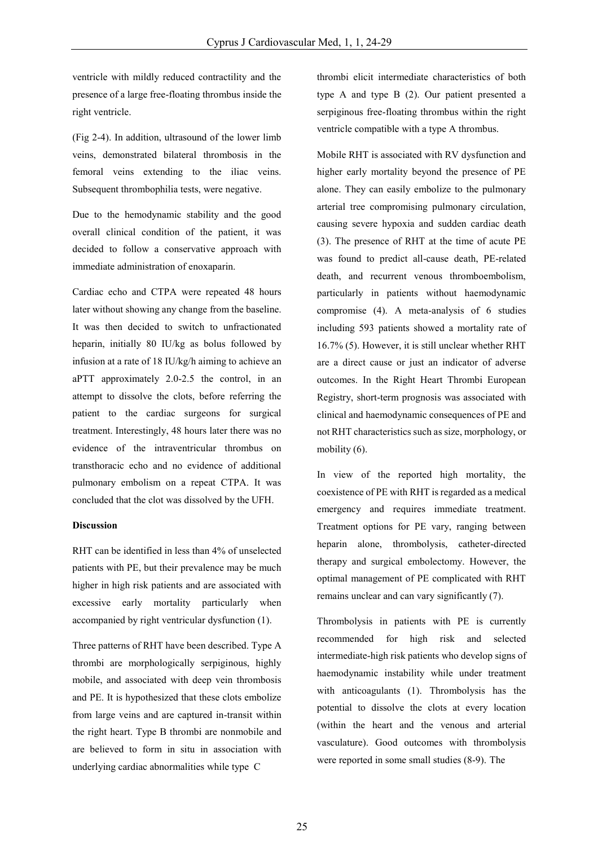ventricle with mildly reduced contractility and the presence of a large free-floating thrombus inside the right ventricle.

(Fig 2-4). In addition, ultrasound of the lower limb veins, demonstrated bilateral thrombosis in the femoral veins extending to the iliac veins. Subsequent thrombophilia tests, were negative.

Due to the hemodynamic stability and the good overall clinical condition of the patient, it was decided to follow a conservative approach with immediate administration of enoxaparin.

Cardiac echo and CTPA were repeated 48 hours later without showing any change from the baseline. It was then decided to switch to unfractionated heparin, initially 80 IU/kg as bolus followed by infusion at a rate of 18 IU/kg/h aiming to achieve an aPTT approximately 2.0-2.5 the control, in an attempt to dissolve the clots, before referring the patient to the cardiac surgeons for surgical treatment. Interestingly, 48 hours later there was no evidence of the intraventricular thrombus on transthoracic echo and no evidence of additional pulmonary embolism on a repeat CTPA. It was concluded that the clot was dissolved by the UFH.

## **Discussion**

RHT can be identified in less than 4% of unselected patients with PE, but their prevalence may be much higher in high risk patients and are associated with excessive early mortality particularly when accompanied by right ventricular dysfunction (1).

Three patterns of RHT have been described. Type A thrombi are morphologically serpiginous, highly mobile, and associated with deep vein thrombosis and PE. It is hypothesized that these clots embolize from large veins and are captured in-transit within the right heart. Type B thrombi are nonmobile and are believed to form in situ in association with underlying cardiac abnormalities while type C

thrombi elicit intermediate characteristics of both type A and type B (2). Our patient presented a serpiginous free-floating thrombus within the right ventricle compatible with a type A thrombus.

Mobile RHT is associated with RV dysfunction and higher early mortality beyond the presence of PE alone. They can easily embolize to the pulmonary arterial tree compromising pulmonary circulation, causing severe hypoxia and sudden cardiac death (3). The presence of RHT at the time of acute PE was found to predict all-cause death, PE-related death, and recurrent venous thromboembolism, particularly in patients without haemodynamic compromise (4). A meta-analysis of 6 studies including 593 patients showed a mortality rate of 16.7% (5). However, it is still unclear whether RHT are a direct cause or just an indicator of adverse outcomes. In the Right Heart Thrombi European Registry, short-term prognosis was associated with clinical and haemodynamic consequences of PE and not RHT characteristics such as size, morphology, or mobility  $(6)$ .

In view of the reported high mortality, the coexistence of PE with RHT isregarded as a medical emergency and requires immediate treatment. Treatment options for PE vary, ranging between heparin alone, thrombolysis, catheter-directed therapy and surgical embolectomy. However, the optimal management of PE complicated with RHT remains unclear and can vary significantly (7).

Thrombolysis in patients with PE is currently recommended for high risk and selected intermediate-high risk patients who develop signs of haemodynamic instability while under treatment with anticoagulants (1). Thrombolysis has the potential to dissolve the clots at every location (within the heart and the venous and arterial vasculature). Good outcomes with thrombolysis were reported in some small studies (8-9). The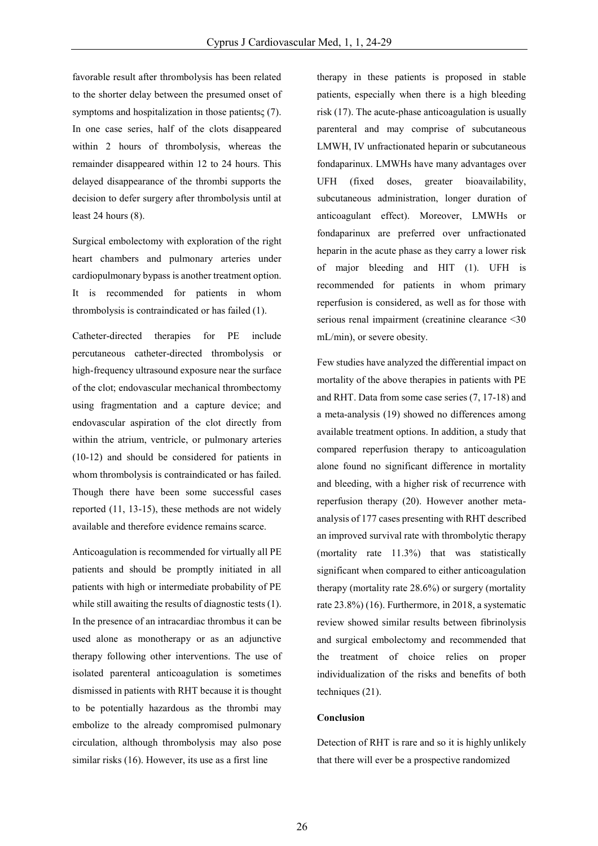favorable result after thrombolysis has been related to the shorter delay between the presumed onset of symptoms and hospitalization in those patients<sub>S</sub> (7). In one case series, half of the clots disappeared within 2 hours of thrombolysis, whereas the remainder disappeared within 12 to 24 hours. This delayed disappearance of the thrombi supports the decision to defer surgery after thrombolysis until at least 24 hours (8).

Surgical embolectomy with exploration of the right heart chambers and pulmonary arteries under cardiopulmonary bypass is another treatment option. It is recommended for patients in whom thrombolysis is contraindicated or has failed (1).

Catheter-directed therapies for PE include percutaneous catheter-directed thrombolysis or high-frequency ultrasound exposure near the surface of the clot; endovascular mechanical thrombectomy using fragmentation and a capture device; and endovascular aspiration of the clot directly from within the atrium, ventricle, or pulmonary arteries (10-12) and should be considered for patients in whom thrombolysis is contraindicated or has failed. Though there have been some successful cases reported (11, 13-15), these methods are not widely available and therefore evidence remains scarce.

Anticoagulation is recommended for virtually all PE patients and should be promptly initiated in all patients with high or intermediate probability of PE while still awaiting the results of diagnostic tests (1). In the presence of an intracardiac thrombus it can be used alone as monotherapy or as an adjunctive therapy following other interventions. The use of isolated parenteral anticoagulation is sometimes dismissed in patients with RHT because it is thought to be potentially hazardous as the thrombi may embolize to the already compromised pulmonary circulation, although thrombolysis may also pose similar risks (16). However, its use as a first line

therapy in these patients is proposed in stable patients, especially when there is a high bleeding risk (17). The acute-phase anticoagulation is usually parenteral and may comprise of subcutaneous LMWH, IV unfractionated heparin or subcutaneous fondaparinux. LMWHs have many advantages over UFH (fixed doses, greater bioavailability, subcutaneous administration, longer duration of anticoagulant effect). Moreover, LMWHs or fondaparinux are preferred over unfractionated heparin in the acute phase as they carry a lower risk of major bleeding and HIT (1). UFH is recommended for patients in whom primary reperfusion is considered, as well as for those with serious renal impairment (creatinine clearance <30 mL/min), or severe obesity.

Few studies have analyzed the differential impact on mortality of the above therapies in patients with PE and RHT. Data from some case series (7, 17-18) and a meta-analysis (19) showed no differences among available treatment options. In addition, a study that compared reperfusion therapy to anticoagulation alone found no significant difference in mortality and bleeding, with a higher risk of recurrence with reperfusion therapy (20). However another metaanalysis of 177 cases presenting with RHT described an improved survival rate with thrombolytic therapy (mortality rate 11.3%) that was statistically significant when compared to either anticoagulation therapy (mortality rate 28.6%) or surgery (mortality rate 23.8%) (16). Furthermore, in 2018, a systematic review showed similar results between fibrinolysis and surgical embolectomy and recommended that the treatment of choice relies on proper individualization of the risks and benefits of both techniques (21).

### **Conclusion**

Detection of RHT is rare and so it is highly unlikely that there will ever be a prospective randomized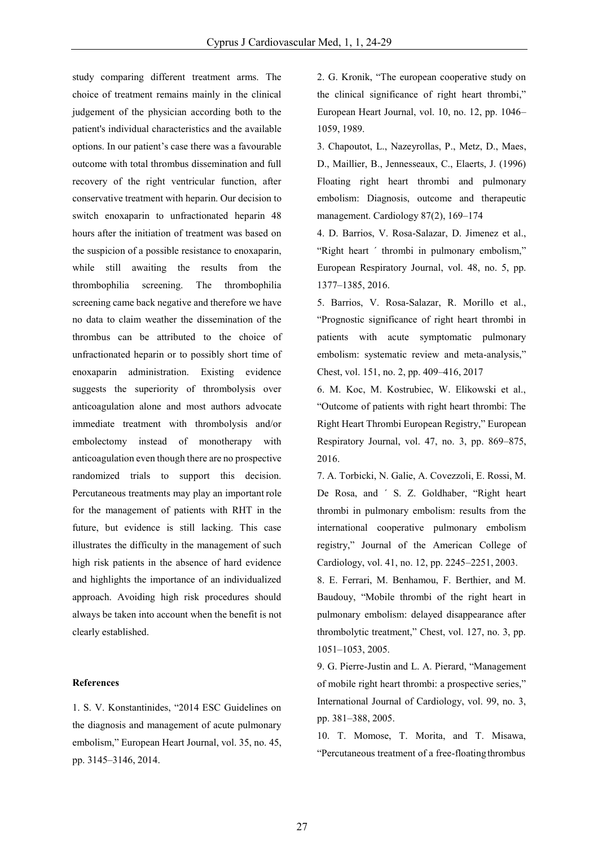study comparing different treatment arms. The choice of treatment remains mainly in the clinical judgement of the physician according both to the patient's individual characteristics and the available options. In our patient's case there was a favourable outcome with total thrombus dissemination and full recovery of the right ventricular function, after conservative treatment with heparin. Our decision to switch enoxaparin to unfractionated heparin 48 hours after the initiation of treatment was based on the suspicion of a possible resistance to enoxaparin, while still awaiting the results from the thrombophilia screening. The thrombophilia screening came back negative and therefore we have no data to claim weather the dissemination of the thrombus can be attributed to the choice of unfractionated heparin or to possibly short time of enoxaparin administration. Existing evidence suggests the superiority of thrombolysis over anticoagulation alone and most authors advocate immediate treatment with thrombolysis and/or embolectomy instead of monotherapy with anticoagulation even though there are no prospective randomized trials to support this decision. Percutaneous treatments may play an important role for the management of patients with RHT in the future, but evidence is still lacking. This case illustrates the difficulty in the management of such high risk patients in the absence of hard evidence and highlights the importance of an individualized approach. Avoiding high risk procedures should always be taken into account when the benefit is not clearly established.

#### **References**

1. S. V. Konstantinides, "2014 ESC Guidelines on the diagnosis and management of acute pulmonary embolism," European Heart Journal, vol. 35, no. 45, pp. 3145–3146, 2014.

2. G. Kronik, "The european cooperative study on the clinical significance of right heart thrombi," European Heart Journal, vol. 10, no. 12, pp. 1046– 1059, 1989.

3. Chapoutot, L., Nazeyrollas, P., Metz, D., Maes, D., Maillier, B., Jennesseaux, C., Elaerts, J. (1996) Floating right heart thrombi and pulmonary embolism: Diagnosis, outcome and therapeutic management. Cardiology 87(2), 169–174

4. D. Barrios, V. Rosa-Salazar, D. Jimenez et al., "Right heart ´ thrombi in pulmonary embolism," European Respiratory Journal, vol. 48, no. 5, pp. 1377–1385, 2016.

5. Barrios, V. Rosa-Salazar, R. Morillo et al., "Prognostic significance of right heart thrombi in patients with acute symptomatic pulmonary embolism: systematic review and meta-analysis," Chest, vol. 151, no. 2, pp. 409–416, 2017

6. M. Koc, M. Kostrubiec, W. Elikowski et al., "Outcome of patients with right heart thrombi: The Right Heart Thrombi European Registry," European Respiratory Journal, vol. 47, no. 3, pp. 869–875, 2016.

7. A. Torbicki, N. Galie, A. Covezzoli, E. Rossi, M. De Rosa, and ´ S. Z. Goldhaber, "Right heart thrombi in pulmonary embolism: results from the international cooperative pulmonary embolism registry," Journal of the American College of Cardiology, vol. 41, no. 12, pp. 2245–2251, 2003.

8. E. Ferrari, M. Benhamou, F. Berthier, and M. Baudouy, "Mobile thrombi of the right heart in pulmonary embolism: delayed disappearance after thrombolytic treatment," Chest, vol. 127, no. 3, pp. 1051–1053, 2005.

9. G. Pierre-Justin and L. A. Pierard, "Management of mobile right heart thrombi: a prospective series," International Journal of Cardiology, vol. 99, no. 3, pp. 381–388, 2005.

10. T. Momose, T. Morita, and T. Misawa, "Percutaneous treatment of a free-floating thrombus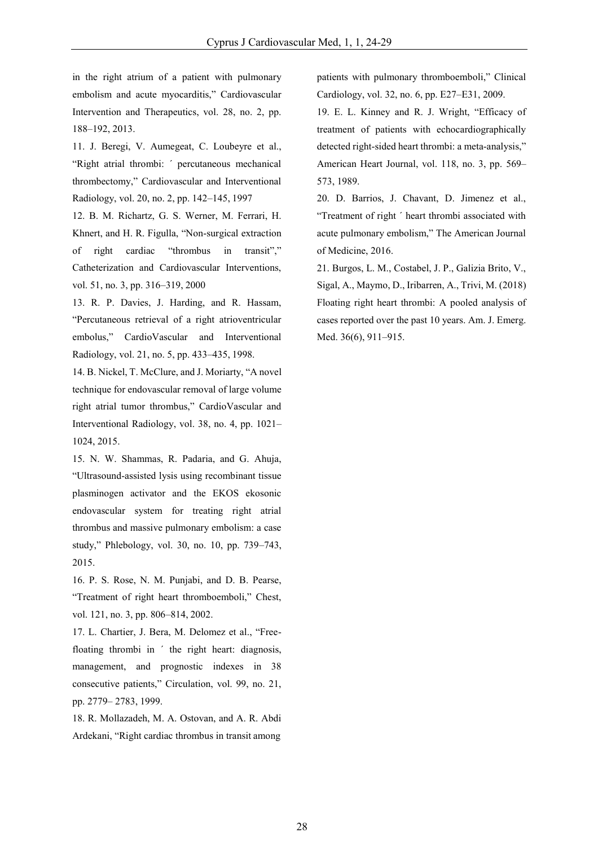in the right atrium of a patient with pulmonary embolism and acute myocarditis," Cardiovascular Intervention and Therapeutics, vol. 28, no. 2, pp. 188–192, 2013.

11. J. Beregi, V. Aumegeat, C. Loubeyre et al., "Right atrial thrombi: ´ percutaneous mechanical thrombectomy," Cardiovascular and Interventional Radiology, vol. 20, no. 2, pp. 142–145, 1997

12. B. M. Richartz, G. S. Werner, M. Ferrari, H. Khnert, and H. R. Figulla, "Non-surgical extraction of right cardiac "thrombus in transit"," Catheterization and Cardiovascular Interventions, vol. 51, no. 3, pp. 316–319, 2000

13. R. P. Davies, J. Harding, and R. Hassam, "Percutaneous retrieval of a right atrioventricular embolus," CardioVascular and Interventional Radiology, vol. 21, no. 5, pp. 433–435, 1998.

14. B. Nickel, T. McClure, and J. Moriarty, "A novel technique for endovascular removal of large volume right atrial tumor thrombus," CardioVascular and Interventional Radiology, vol. 38, no. 4, pp. 1021– 1024, 2015.

15. N. W. Shammas, R. Padaria, and G. Ahuja, "Ultrasound-assisted lysis using recombinant tissue plasminogen activator and the EKOS ekosonic endovascular system for treating right atrial thrombus and massive pulmonary embolism: a case study," Phlebology, vol. 30, no. 10, pp. 739–743, 2015.

16. P. S. Rose, N. M. Punjabi, and D. B. Pearse, "Treatment of right heart thromboemboli," Chest, vol. 121, no. 3, pp. 806–814, 2002.

17. L. Chartier, J. Bera, M. Delomez et al., "Freefloating thrombi in ´ the right heart: diagnosis, management, and prognostic indexes in 38 consecutive patients," Circulation, vol. 99, no. 21, pp. 2779– 2783, 1999.

18. R. Mollazadeh, M. A. Ostovan, and A. R. Abdi Ardekani, "Right cardiac thrombus in transit among

patients with pulmonary thromboemboli," Clinical Cardiology, vol. 32, no. 6, pp. E27–E31, 2009.

19. E. L. Kinney and R. J. Wright, "Efficacy of treatment of patients with echocardiographically detected right-sided heart thrombi: a meta-analysis," American Heart Journal, vol. 118, no. 3, pp. 569– 573, 1989.

20. D. Barrios, J. Chavant, D. Jimenez et al., "Treatment of right ´ heart thrombi associated with acute pulmonary embolism," The American Journal of Medicine, 2016.

21. Burgos, L. M., Costabel, J. P., Galizia Brito, V., Sigal, A., Maymo, D., Iribarren, A., Trivi, M. (2018) Floating right heart thrombi: A pooled analysis of cases reported over the past 10 years. Am. J. Emerg. Med. 36(6), 911–915.